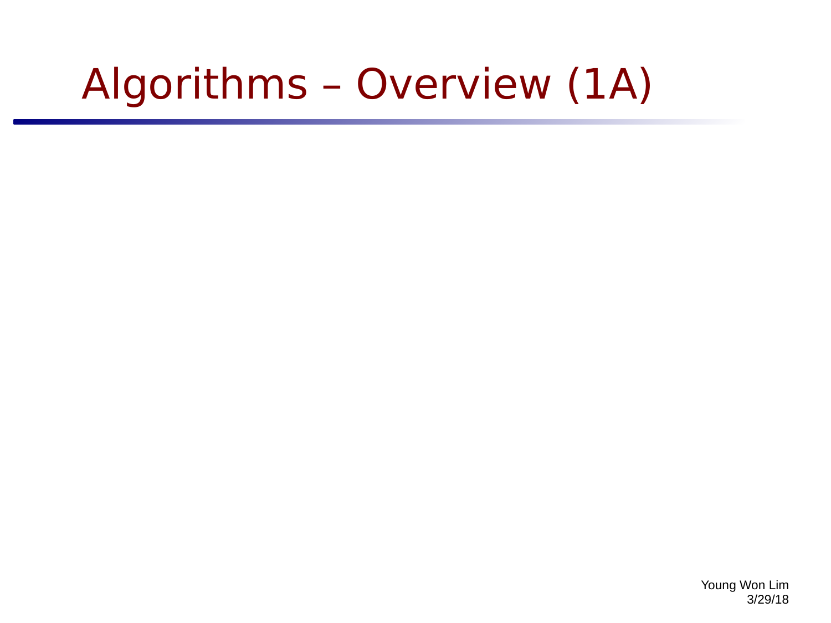# Algorithms – Overview (1A)

Young Won Lim 3/29/18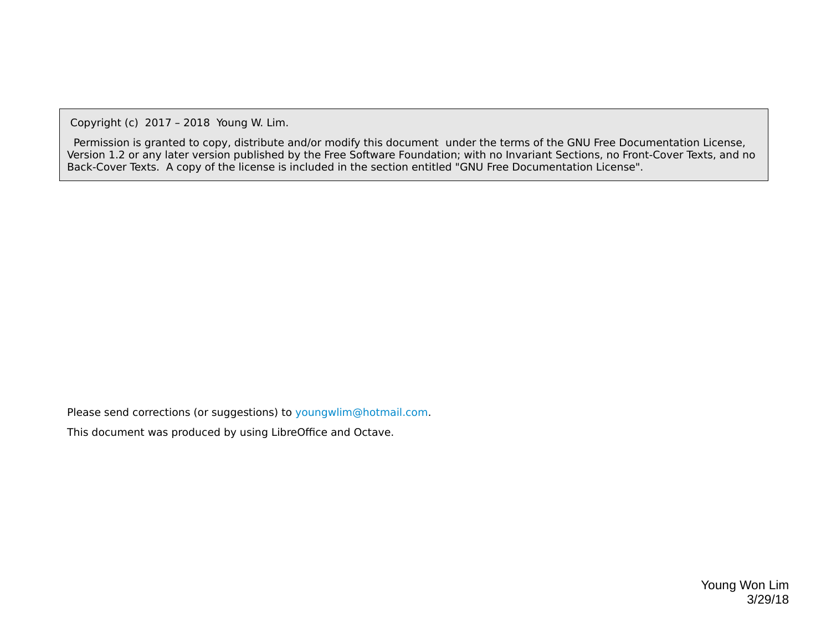Copyright (c) 2017 – 2018 Young W. Lim.

 Permission is granted to copy, distribute and/or modify this document under the terms of the GNU Free Documentation License, Version 1.2 or any later version published by the Free Software Foundation; with no Invariant Sections, no Front-Cover Texts, and no Back-Cover Texts. A copy of the license is included in the section entitled "GNU Free Documentation License".

Please send corrections (or suggestions) to [youngwlim@hotmail.com](mailto:youngwlim@hotmail.com).

This document was produced by using LibreOffice and Octave.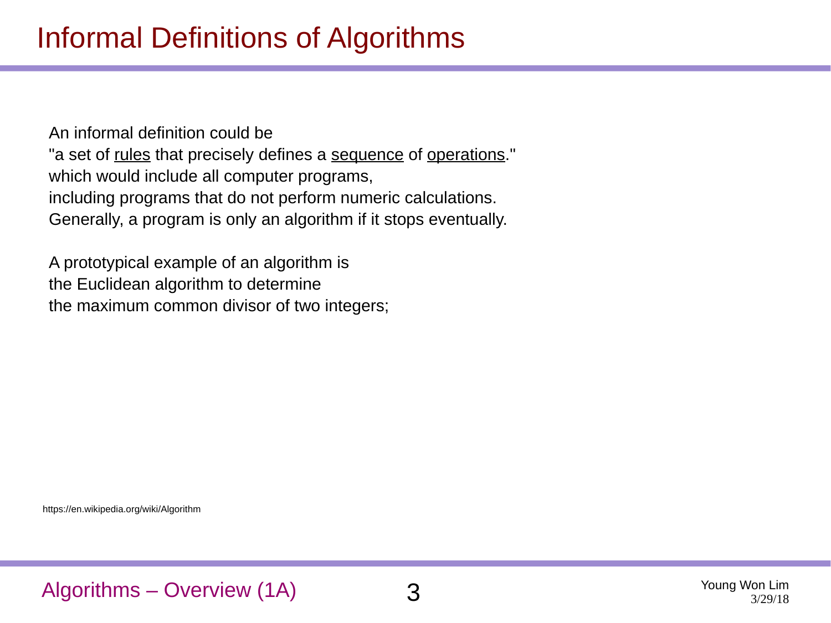An informal definition could be "a set of rules that precisely defines a sequence of operations." which would include all computer programs, including programs that do not perform numeric calculations. Generally, a program is only an algorithm if it stops eventually.

A prototypical example of an algorithm is the Euclidean algorithm to determine the maximum common divisor of two integers;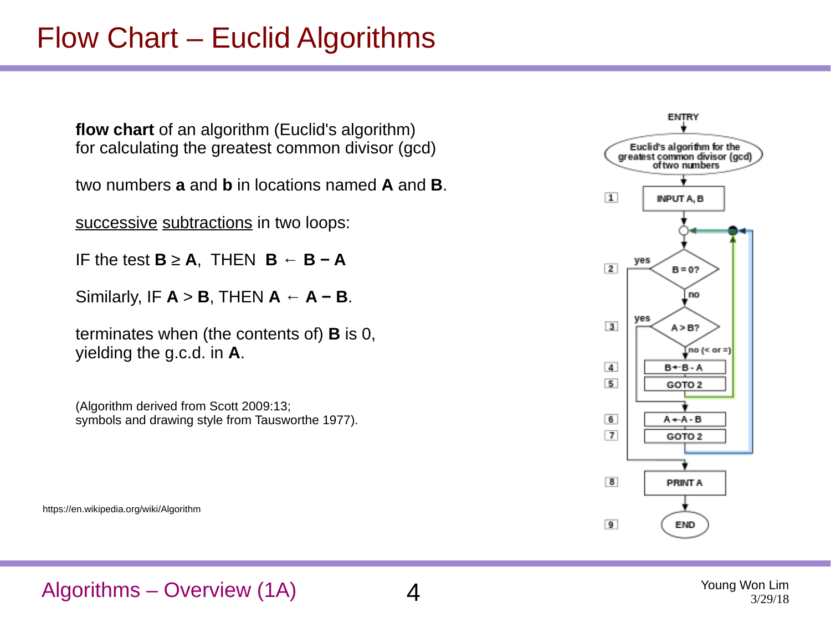# Flow Chart – Euclid Algorithms

**flow chart** of an algorithm (Euclid's algorithm) for calculating the greatest common divisor (gcd)

two numbers **a** and **b** in locations named **A** and **B**.

successive subtractions in two loops:

- IF the test **B** ≥ **A**, THEN **B ← B − A**
- Similarly, IF  $A > B$ , THEN  $A \leftarrow A B$ .

terminates when (the contents of) **B** is 0, yielding the g.c.d. in **A**.

(Algorithm derived from Scott 2009:13; symbols and drawing style from Tausworthe 1977).

https://en.wikipedia.org/wiki/Algorithm



### Algorithms – Overview (1A) 4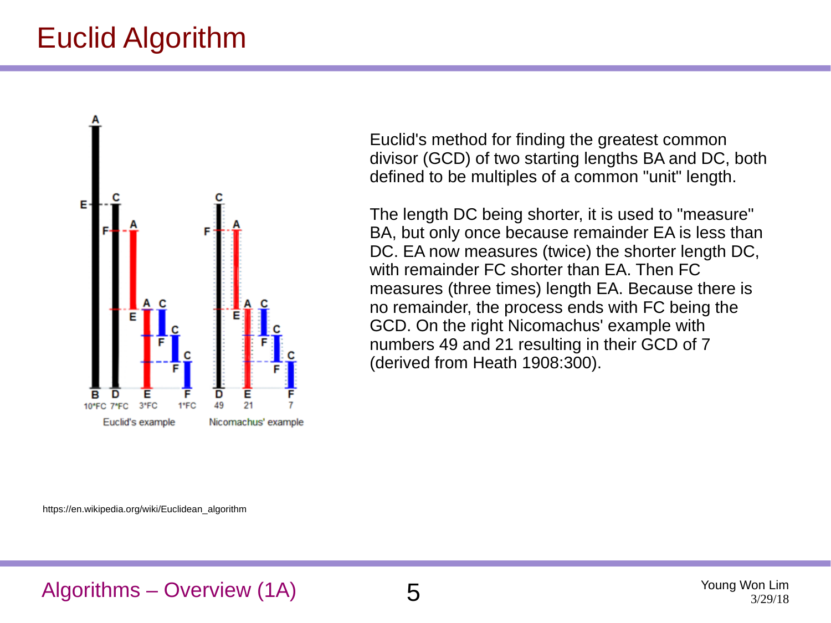# Euclid Algorithm



Euclid's method for finding the greatest common divisor (GCD) of two starting lengths BA and DC, both defined to be multiples of a common "unit" length.

The length DC being shorter, it is used to "measure" BA, but only once because remainder EA is less than DC. EA now measures (twice) the shorter length DC, with remainder FC shorter than EA. Then FC measures (three times) length EA. Because there is no remainder, the process ends with FC being the GCD. On the right Nicomachus' example with numbers 49 and 21 resulting in their GCD of 7 (derived from Heath 1908:300).

https://en.wikipedia.org/wiki/Euclidean\_algorithm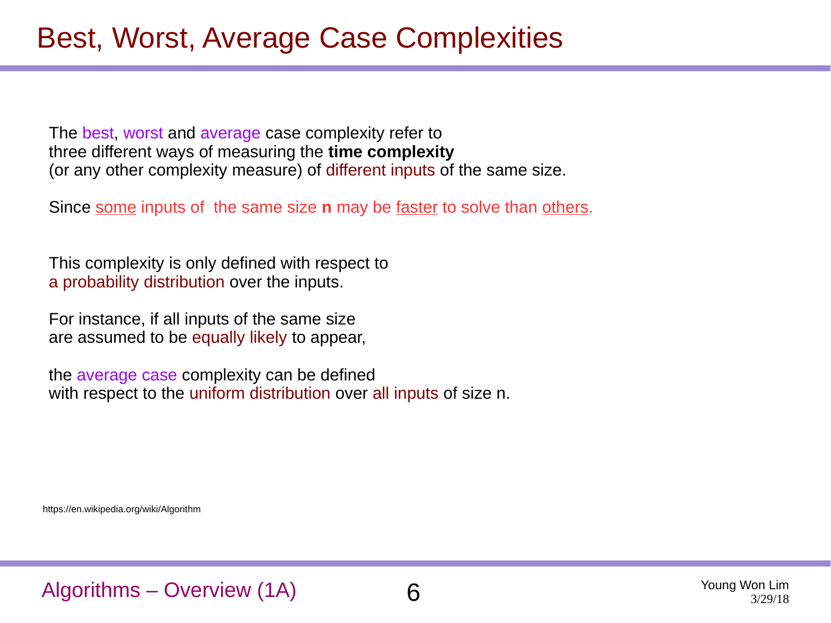The best, worst and average case complexity refer to three different ways of measuring the **time complexity** (or any other complexity measure) of different inputs of the same size.

Since some inputs of the same size **n** may be faster to solve than others.

This complexity is only defined with respect to a probability distribution over the inputs.

For instance, if all inputs of the same size are assumed to be equally likely to appear,

the average case complexity can be defined with respect to the uniform distribution over all inputs of size n.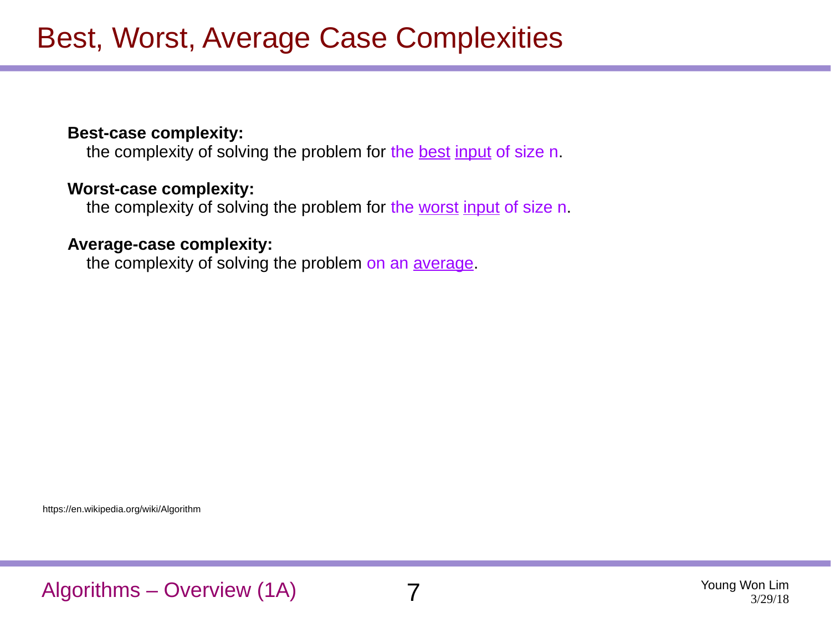### **Best-case complexity:**

the complexity of solving the problem for the best input of size n.

#### **Worst-case complexity:**

the complexity of solving the problem for the worst input of size n.

#### **Average-case complexity:**

the complexity of solving the problem on an *average*.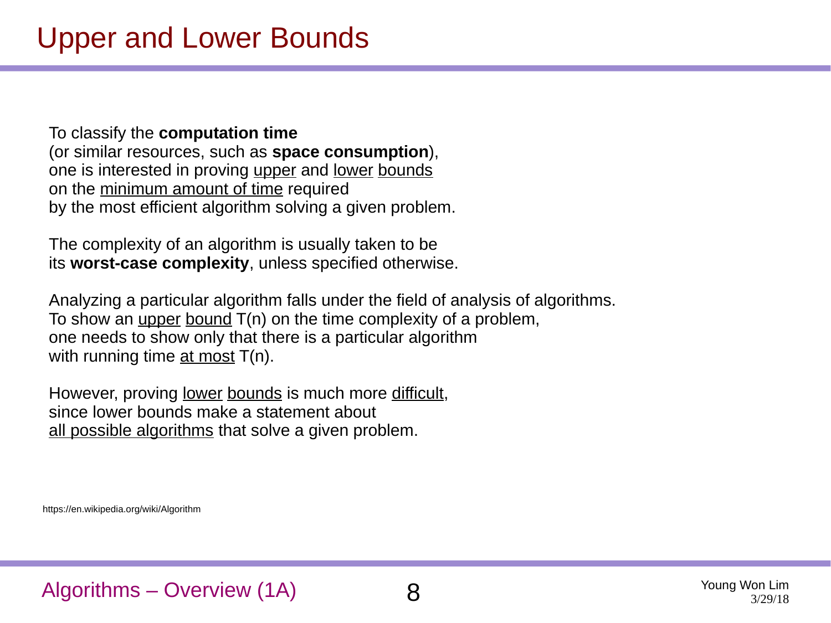To classify the **computation time** (or similar resources, such as **space consumption**), one is interested in proving upper and lower bounds on the minimum amount of time required by the most efficient algorithm solving a given problem.

The complexity of an algorithm is usually taken to be its **worst-case complexity**, unless specified otherwise.

Analyzing a particular algorithm falls under the field of analysis of algorithms. To show an upper bound  $T(n)$  on the time complexity of a problem, one needs to show only that there is a particular algorithm with running time at most  $T(n)$ .

However, proving <u>lower bounds</u> is much more difficult, since lower bounds make a statement about all possible algorithms that solve a given problem.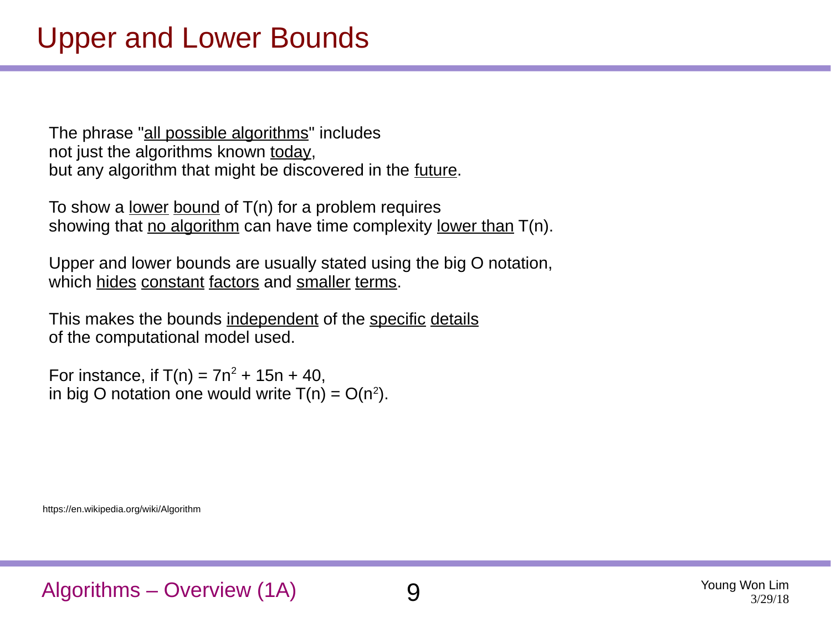The phrase "all possible algorithms" includes not just the algorithms known today, but any algorithm that might be discovered in the future.

To show a <u>lower bound</u> of  $T(n)$  for a problem requires showing that no algorithm can have time complexity lower than T(n).

Upper and lower bounds are usually stated using the big O notation, which hides constant factors and smaller terms.

This makes the bounds independent of the specific details of the computational model used.

For instance, if  $T(n) = 7n^2 + 15n + 40$ , in big O notation one would write  $T(n) = O(n^2)$ .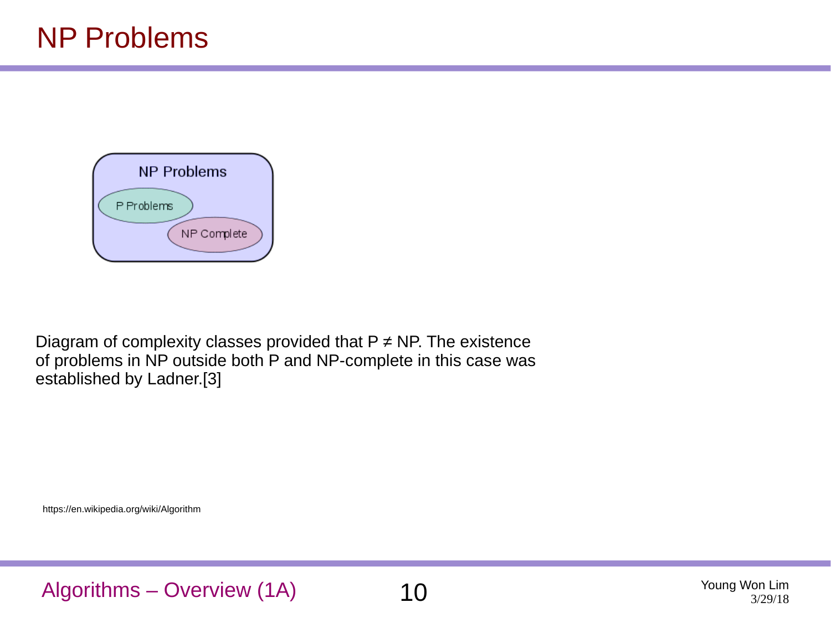

Diagram of complexity classes provided that  $P \neq NP$ . The existence of problems in NP outside both P and NP-complete in this case was established by Ladner.[3]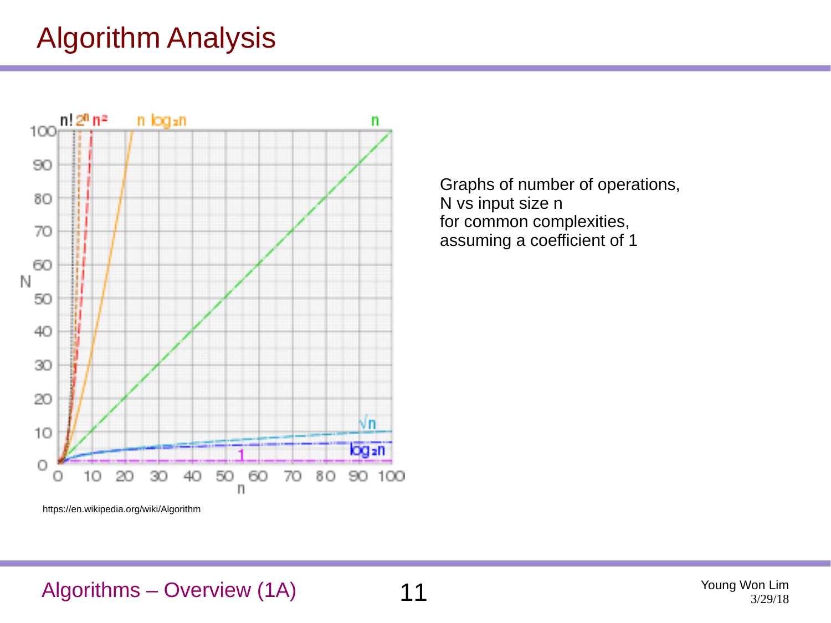# Algorithm Analysis



Graphs of number of operations, N vs input size n for common complexities, assuming a coefficient of 1

https://en.wikipedia.org/wiki/Algorithm

### Algorithms – Overview (1A) 11 The Matter of the Magnetic Music Music Music Music Music Music Music Music Music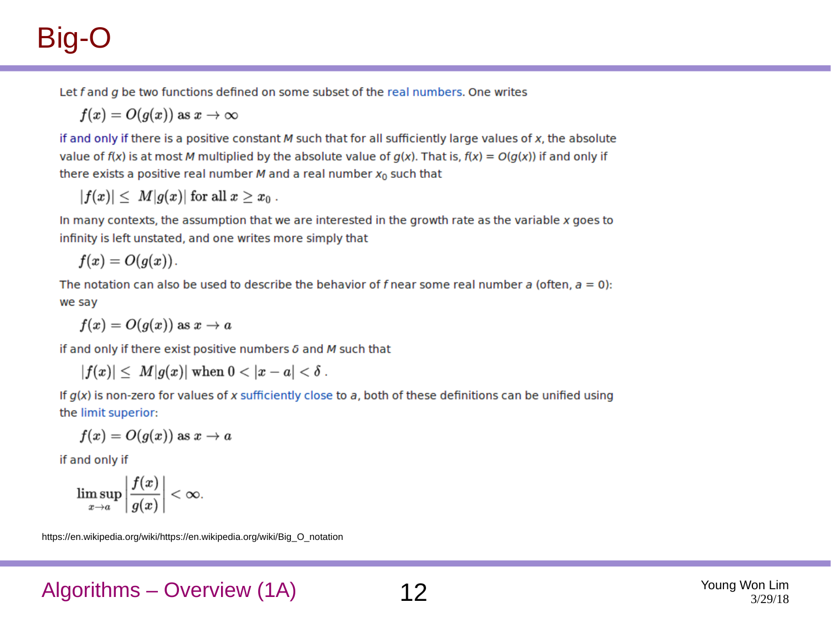# Big-O

Let  $f$  and  $g$  be two functions defined on some subset of the real numbers. One writes

$$
f(x)=O(g(x))\text{ as }x\to\infty
$$

if and only if there is a positive constant  $M$  such that for all sufficiently large values of  $x$ , the absolute value of  $f(x)$  is at most M multiplied by the absolute value of  $g(x)$ . That is,  $f(x) = O(g(x))$  if and only if there exists a positive real number  $M$  and a real number  $x_0$  such that

$$
|f(x)|\leq |M|g(x)|\text{ for all }x\geq x_0\ .
$$

In many contexts, the assumption that we are interested in the growth rate as the variable x goes to infinity is left unstated, and one writes more simply that

$$
f(x)=O(g(x)).
$$

The notation can also be used to describe the behavior of f near some real number a (often,  $a = 0$ ): we say

$$
f(x)=O(g(x))\text{ as }x\to a
$$

if and only if there exist positive numbers  $\delta$  and  $M$  such that

$$
|f(x)| \leq |M|g(x)| \text{ when } 0 < |x - a| < \delta .
$$

If  $g(x)$  is non-zero for values of x sufficiently close to a, both of these definitions can be unified using the limit superior:

$$
f(x)=O(g(x))\text{ as }x\to a
$$

if and only if

$$
\limsup_{x\to a}\left|\frac{f(x)}{g(x)}\right|<\infty.
$$

https://en.wikipedia.org/wiki/https://en.wikipedia.org/wiki/Big\_O\_notation

Algorithms – Overview (1A) 12 Young Won Lim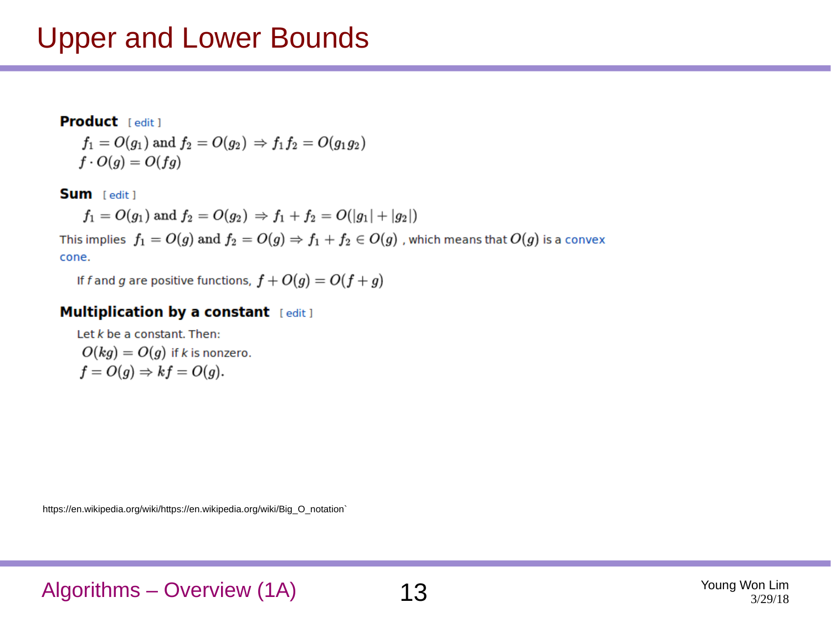### Upper and Lower Bounds

### Product [edit]  $f_1 = O(g_1)$  and  $f_2 = O(g_2) \Rightarrow f_1 f_2 = O(g_1 g_2)$  $f \cdot O(q) = O(fq)$

Sum [edit]

$$
f_1 = O(g_1) \text{ and } f_2 = O(g_2) \Rightarrow f_1 + f_2 = O(|g_1| + |g_2|)
$$

This implies  $f_1 = O(g)$  and  $f_2 = O(g) \Rightarrow f_1 + f_2 \in O(g)$ , which means that  $O(g)$  is a convex cone.

If f and g are positive functions,  $f + O(g) = O(f + g)$ 

#### **Multiplication by a constant** [edit]

Let  $k$  be a constant. Then:  $O(kg) = O(g)$  if k is nonzero.  $f = O(g) \Rightarrow kf = O(g).$ 

https://en.wikipedia.org/wiki/https://en.wikipedia.org/wiki/Big\_O\_notation`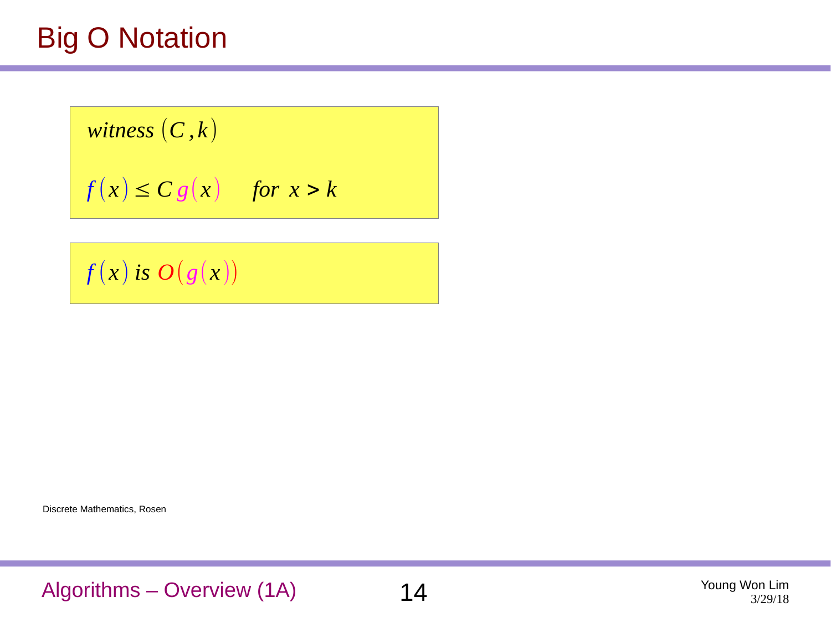# Big O Notation

*witness*  $(C, k)$ 

$$
f(x) \leq C g(x) \quad \text{for } x > k
$$

 $f(x)$  *is*  $O(g(x))$ 

Discrete Mathematics, Rosen

Algorithms – Overview (1A) 14 Young Won Lim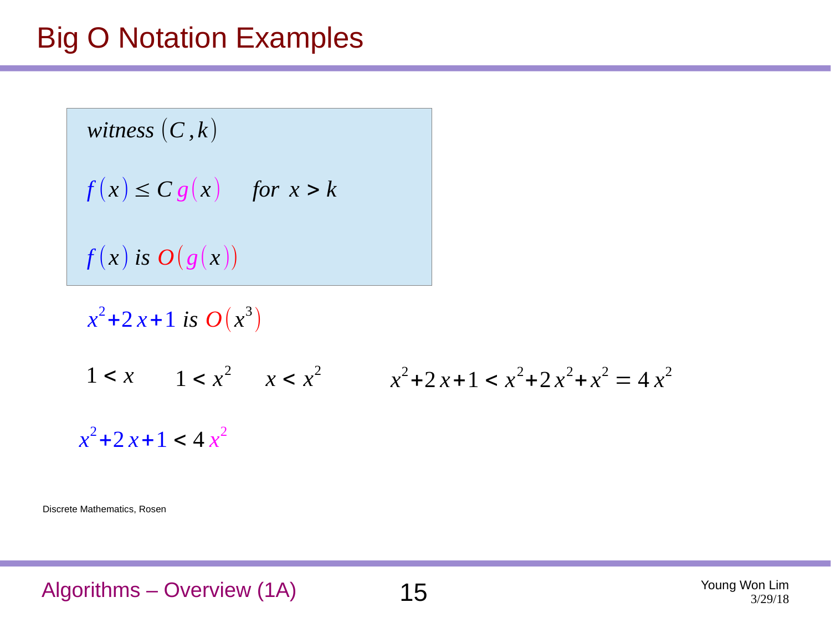### Big O Notation Examples

*witness*  $(C, k)$  $f(x) \leq C g(x)$  *for*  $x > k$  $f(x)$  *is*  $O(g(x))$ 

 $x^2$ +2 *x* + 1 *is*  $O(x^3)$ 1 < *x*  $x$  1 < *x*<sup>2</sup>  $x$  < *x*<sup>2</sup>  $x$   $x$   $x$ <sup>2</sup> + 2 *x* + 1 < *x*<sup>2</sup> + 2 *x*<sup>2</sup> + *x*<sup>2</sup> = 4 *x*<sup>2</sup>  $x^2 + 2x + 1 < 4x^2$ 

Discrete Mathematics, Rosen

Algorithms – Overview (1A) 15 Young Won Lim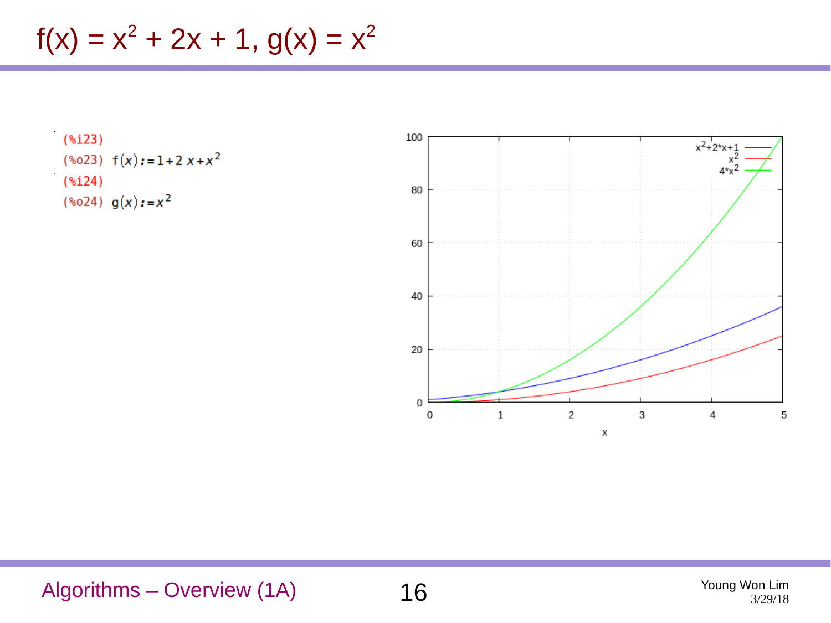$f(x) = x^2 + 2x + 1$ ,  $g(x) = x^2$ 

### $(*i23)$ (%023)  $f(x) := 1 + 2x + x^2$  $(*i24)$ (%024)  $g(x) := x^2$



Algorithms – Overview (1A) 16 Young Won Lim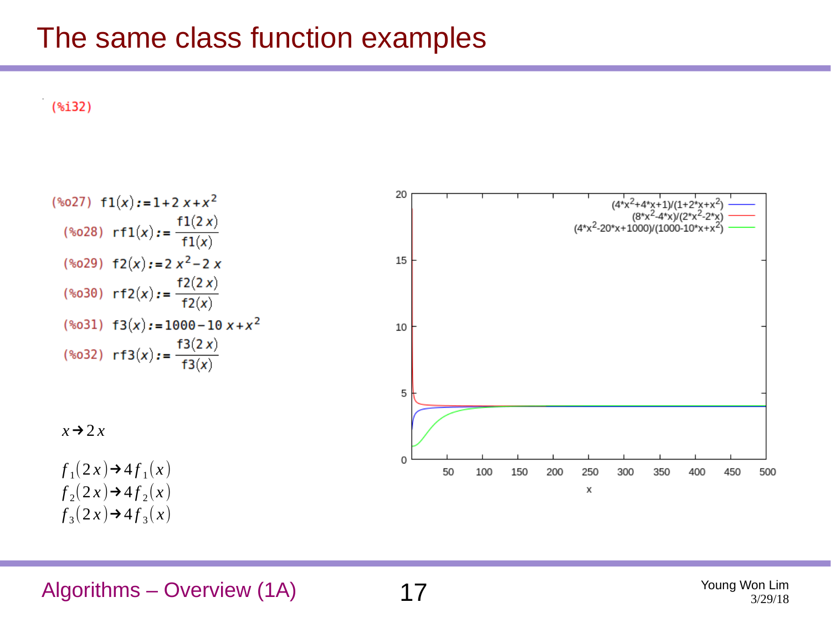### The same class function examples

 $(*i32)$ 



 $f_3(2x) \rightarrow 4 f_3(x)$ 

Algorithms – Overview (1A) 17 The Second Country of the Mustave Country of the Mustave Country of the Mustave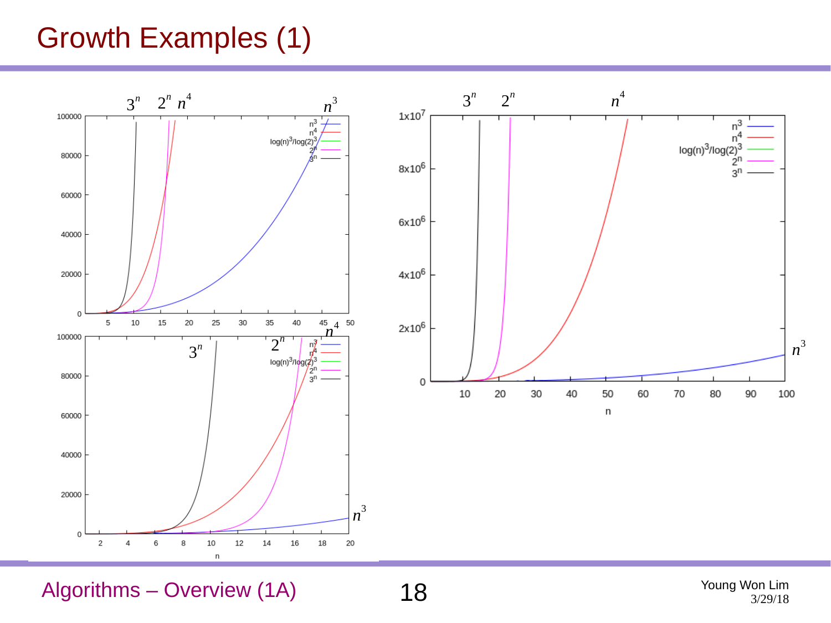# Growth Examples (1)



Algorithms – Overview (1A) 18 Magnetic Material Manuel Mung Won Lim

3/29/18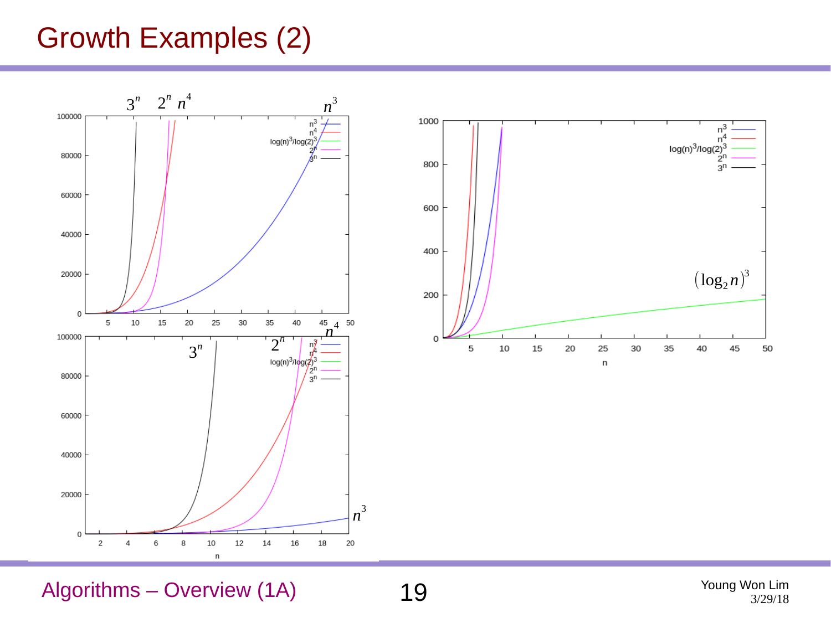# Growth Examples (2)





Algorithms – Overview (1A) 19

3/29/18